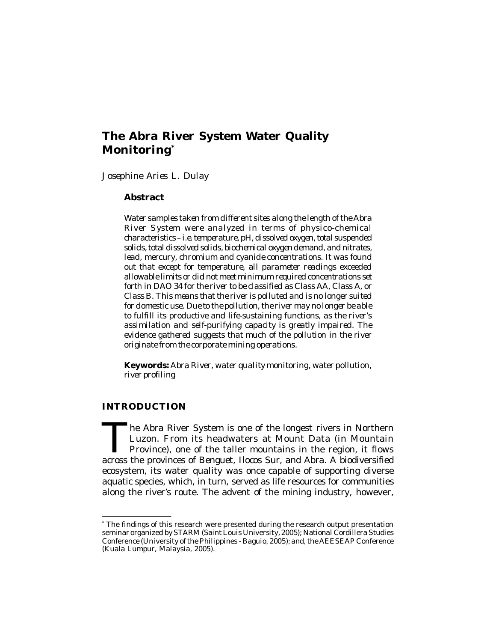# **The Abra River System Water Quality Monitoring\***

*Josephine Aries L. Dulay*

### **Abstract**

*Water samples taken from different sites along the length of the Abra River System were analyzed in terms of physico-chemical characteristics – i.e. temperature, pH, dissolved oxygen, total suspended solids, total dissolved solids, biochemical oxygen demand, and nitrates, lead, mercury, chromium and cyanide concentrations. It was found out that except for temperature, all parameter readings exceeded allowable limits or did not meet minimum required concentrations set forth in DAO 34 for the river to be classified as Class AA, Class A, or Class B. This means that the river is polluted and is no longer suited for domestic use. Due to the pollution, the river may no longer be able to fulfill its productive and life-sustaining functions, as the river's assimilation and self-purifying capacity is greatly impaired. The evidence gathered suggests that much of the pollution in the river originate from the corporate mining operations.*

**Keywords:** *Abra River, water quality monitoring, water pollution, river profiling*

## **INTRODUCTION**

The Abra River System is one of the longest rivers in Northern<br>Luzon. From its headwaters at Mount Data (in Mountain<br>Province), one of the taller mountains in the region, it flows<br>across the provinces of Benguet, Ilocos Su he Abra River System is one of the longest rivers in Northern Luzon. From its headwaters at Mount Data (in Mountain Province), one of the taller mountains in the region, it flows ecosystem, its water quality was once capable of supporting diverse aquatic species, which, in turn, served as life resources for communities along the river's route. The advent of the mining industry, however,

<sup>\*</sup> The findings of this research were presented during the research output presentation seminar organized by STARM (Saint Louis University, 2005); National Cordillera Studies Conference (University of the Philippines - Baguio, 2005); and, the AEESEAP Conference (Kuala Lumpur, Malaysia, 2005).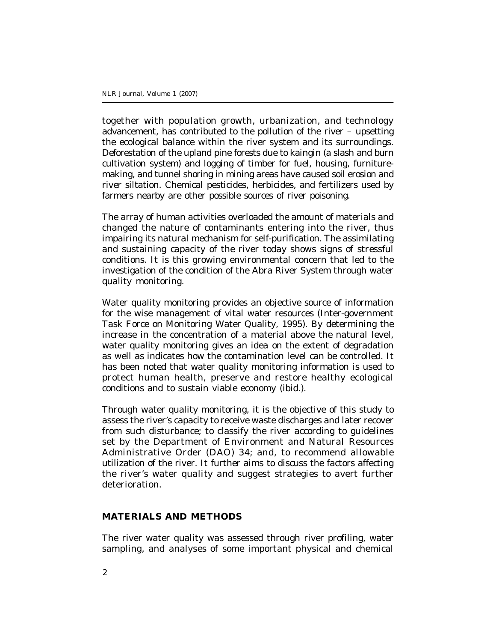together with population growth, urbanization, and technology advancement, has contributed to the pollution of the river – upsetting the ecological balance within the river system and its surroundings. Deforestation of the upland pine forests due to *kaingin* (a slash and burn cultivation system) and logging of timber for fuel, housing, furnituremaking, and tunnel shoring in mining areas have caused soil erosion and river siltation. Chemical pesticides, herbicides, and fertilizers used by farmers nearby are other possible sources of river poisoning.

The array of human activities overloaded the amount of materials and changed the nature of contaminants entering into the river, thus impairing its natural mechanism for self-purification. The assimilating and sustaining capacity of the river today shows signs of stressful conditions. It is this growing environmental concern that led to the investigation of the condition of the Abra River System through water quality monitoring.

Water quality monitoring provides an objective source of information for the wise management of vital water resources (Inter-government Task Force on Monitoring Water Quality, 1995). By determining the increase in the concentration of a material above the natural level, water quality monitoring gives an idea on the extent of degradation as well as indicates how the contamination level can be controlled. It has been noted that water quality monitoring information is used to protect human health, preserve and restore healthy ecological conditions and to sustain viable economy (ibid.).

Through water quality monitoring, it is the objective of this study to assess the river's capacity to receive waste discharges and later recover from such disturbance; to classify the river according to guidelines set by the Department of Environment and Natural Resources Administrative Order (DAO) 34; and, to recommend allowable utilization of the river. It further aims to discuss the factors affecting the river's water quality and suggest strategies to avert further deterioration.

#### **MATERIALS AND METHODS**

The river water quality was assessed through river profiling, water sampling, and analyses of some important physical and chemical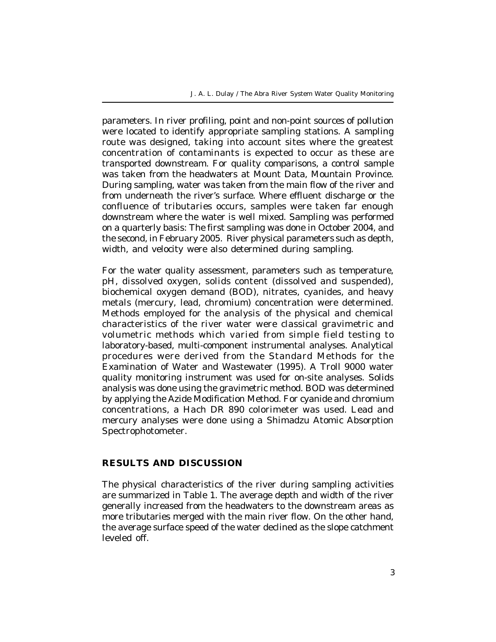J. A. L. Dulay / The Abra River System Water Quality Monitoring

parameters. In river profiling, point and non-point sources of pollution were located to identify appropriate sampling stations. A sampling route was designed, taking into account sites where the greatest concentration of contaminants is expected to occur as these are transported downstream. For quality comparisons, a control sample was taken from the headwaters at Mount Data, Mountain Province. During sampling, water was taken from the main flow of the river and from underneath the river's surface. Where effluent discharge or the confluence of tributaries occurs, samples were taken far enough downstream where the water is well mixed. Sampling was performed on a quarterly basis: The first sampling was done in October 2004, and the second, in February 2005. River physical parameters such as depth, width, and velocity were also determined during sampling.

For the water quality assessment, parameters such as temperature, pH, dissolved oxygen, solids content (dissolved and suspended), biochemical oxygen demand (BOD), nitrates, cyanides, and heavy metals (mercury, lead, chromium) concentration were determined. Methods employed for the analysis of the physical and chemical characteristics of the river water were classical gravimetric and volumetric methods which varied from simple field testing to laboratory-based, multi-component instrumental analyses. Analytical procedures were derived from the Standard Methods for the Examination of Water and Wastewater (1995). A Troll 9000 water quality monitoring instrument was used for on-site analyses. Solids analysis was done using the gravimetric method. BOD was determined by applying the Azide Modification Method. For cyanide and chromium concentrations, a Hach DR 890 colorimeter was used. Lead and mercury analyses were done using a Shimadzu Atomic Absorption Spectrophotometer.

# **RESULTS AND DISCUSSION**

The physical characteristics of the river during sampling activities are summarized in Table 1. The average depth and width of the river generally increased from the headwaters to the downstream areas as more tributaries merged with the main river flow. On the other hand, the average surface speed of the water declined as the slope catchment leveled off.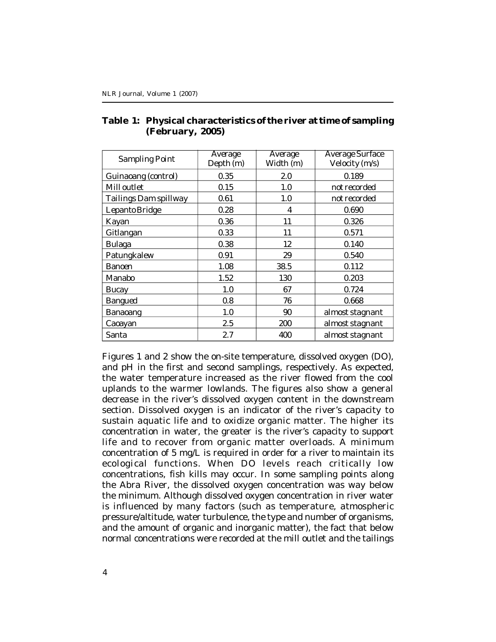| Sampling Point        | Average<br>Depth (m) | Average<br>Width (m) | <b>Average Surface</b><br>Velocity (m/s) |  |
|-----------------------|----------------------|----------------------|------------------------------------------|--|
| Guinaoang (control)   | 0.35                 | 2.0                  | 0.189                                    |  |
| Mill outlet           | 0.15                 | 1.0                  | not recorded                             |  |
| Tailings Dam spillway | 0.61                 | 1.0                  | not recorded                             |  |
| Lepanto Bridge        | 0.28                 | 4                    | 0.690                                    |  |
| Kayan                 | 0.36                 | 11                   | 0.326                                    |  |
| Gitlangan             | 0.33                 | 11                   | 0.571                                    |  |
| <b>Bulaga</b>         | 0.38                 | 12                   | 0.140                                    |  |
| Patungkalew           | 0.91                 | 29                   | 0.540                                    |  |
| <b>Banoen</b>         | 1.08                 | 38.5                 | 0.112                                    |  |
| Manabo                | 1.52                 | 130                  | 0.203                                    |  |
| Bucay                 | 1.0                  | 67                   | 0.724                                    |  |
| Bangued               | 0.8                  | 76                   | 0.668                                    |  |
| Banaoang              | 1.0                  | 90                   | almost stagnant                          |  |
| Caoayan               | 2.5                  | 200                  | almost stagnant                          |  |
| Santa                 | 2.7                  | 400                  | almost stagnant                          |  |

# **Table 1: Physical characteristics of the river at time of sampling (February, 2005)**

Figures 1 and 2 show the on-site temperature, dissolved oxygen (DO), and pH in the first and second samplings, respectively. As expected, the water temperature increased as the river flowed from the cool uplands to the warmer lowlands. The figures also show a general decrease in the river's dissolved oxygen content in the downstream section. Dissolved oxygen is an indicator of the river's capacity to sustain aquatic life and to oxidize organic matter. The higher its concentration in water, the greater is the river's capacity to support life and to recover from organic matter overloads. A minimum concentration of 5 mg/L is required in order for a river to maintain its ecological functions. When DO levels reach critically low concentrations, fish kills may occur. In some sampling points along the Abra River, the dissolved oxygen concentration was way below the minimum. Although dissolved oxygen concentration in river water is influenced by many factors (such as temperature, atmospheric pressure/altitude, water turbulence, the type and number of organisms, and the amount of organic and inorganic matter), the fact that below normal concentrations were recorded at the mill outlet and the tailings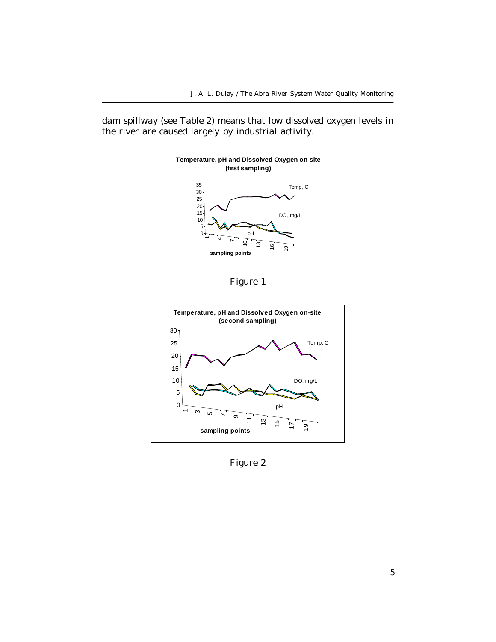dam spillway (see Table 2) means that low dissolved oxygen levels in the river are caused largely by industrial activity.



Figure 1



Figure 2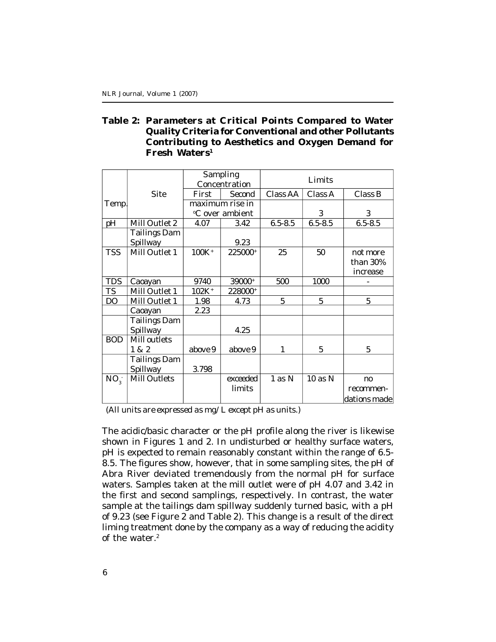# **Table 2: Parameters at Critical Points Compared to Water Quality Criteria for Conventional and other Pollutants Contributing to Aesthetics and Oxygen Demand for Fresh Waters<sup>1</sup>**

|            |                                 | Sampling<br>Concentration<br>First<br>Second |          | Limits                         |             |                |  |
|------------|---------------------------------|----------------------------------------------|----------|--------------------------------|-------------|----------------|--|
|            | Site                            |                                              |          | Class AA<br>Class A<br>Class B |             |                |  |
|            |                                 |                                              |          |                                |             |                |  |
| Temp.      |                                 | maximum rise in                              |          |                                |             |                |  |
|            |                                 | °C over ambient                              |          |                                | 3           | 3              |  |
| pH         | Mill Outlet 2                   | 4.07                                         | 3.42     | $6.5 - 8.5$                    | $6.5 - 8.5$ | $6.5 - 8.5$    |  |
|            | <b>Tailings Dam</b><br>Spillway |                                              | 9.23     |                                |             |                |  |
|            |                                 |                                              |          |                                |             |                |  |
| <b>TSS</b> | Mill Outlet 1                   | 100K <sup>+</sup>                            | 225000+  | 25                             | 50          | not more       |  |
|            |                                 |                                              |          |                                |             | than 30%       |  |
|            |                                 |                                              |          |                                |             | increase       |  |
| <b>TDS</b> | Caoayan                         | 9740                                         | 39000+   | 500                            | 1000        |                |  |
| <b>TS</b>  | Mill Outlet 1                   | 102K <sup>+</sup>                            | 228000+  |                                |             |                |  |
| DO         | Mill Outlet 1                   | 1.98                                         | 4.73     | 5                              | 5           | 5              |  |
|            | Caoayan                         | 2.23                                         |          |                                |             |                |  |
|            | <b>Tailings Dam</b>             |                                              |          |                                |             |                |  |
|            | Spillway                        |                                              | 4.25     |                                |             |                |  |
| <b>BOD</b> | Mill outlets                    |                                              |          |                                |             |                |  |
|            | 1&2                             | above 9                                      | above 9  | 1                              | 5           | 5              |  |
|            | <b>Tailings Dam</b>             |                                              |          |                                |             |                |  |
|            | Spillway                        | 3.798                                        |          |                                |             |                |  |
| $NO_{3}$   | Mill Outlets                    |                                              | exceeded | 1 as N                         | 10 as N     | n <sub>0</sub> |  |
|            |                                 |                                              | limits   |                                |             | recommen-      |  |
|            |                                 |                                              |          |                                |             | dations made   |  |

*(All units are expressed as mg/L except pH as units.)*

The acidic/basic character or the pH profile along the river is likewise shown in Figures 1 and 2. In undisturbed or healthy surface waters, pH is expected to remain reasonably constant within the range of 6.5- 8.5. The figures show, however, that in some sampling sites, the pH of Abra River deviated tremendously from the normal pH for surface waters. Samples taken at the mill outlet were of pH 4.07 and 3.42 in the first and second samplings, respectively. In contrast, the water sample at the tailings dam spillway suddenly turned basic, with a pH of 9.23 (see Figure 2 and Table 2). This change is a result of the direct liming treatment done by the company as a way of reducing the acidity of the water.2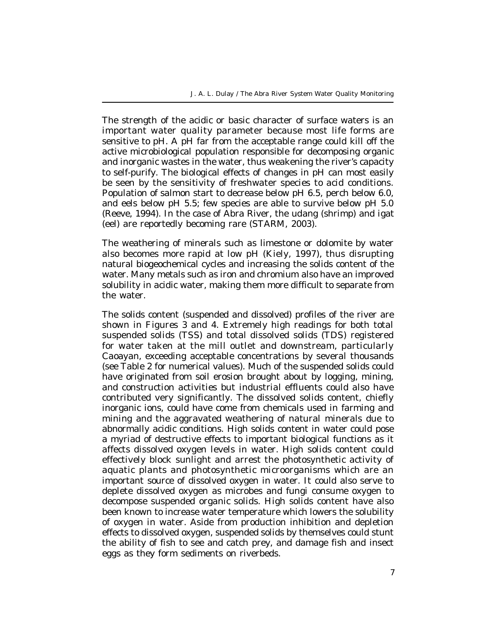The strength of the acidic or basic character of surface waters is an important water quality parameter because most life forms are sensitive to pH. A pH far from the acceptable range could kill off the active microbiological population responsible for decomposing organic and inorganic wastes in the water, thus weakening the river's capacity to self-purify. The biological effects of changes in pH can most easily be seen by the sensitivity of freshwater species to acid conditions. Population of salmon start to decrease below pH 6.5, perch below 6.0, and eels below pH 5.5; few species are able to survive below pH 5.0 (Reeve, 1994). In the case of Abra River, the *udang* (shrimp) and *igat* (eel) are reportedly becoming rare (STARM, 2003).

The weathering of minerals such as limestone or dolomite by water also becomes more rapid at low pH (Kiely, 1997), thus disrupting natural biogeochemical cycles and increasing the solids content of the water. Many metals such as iron and chromium also have an improved solubility in acidic water, making them more difficult to separate from the water.

The solids content (suspended and dissolved) profiles of the river are shown in Figures 3 and 4. Extremely high readings for both total suspended solids (TSS) and total dissolved solids (TDS) registered for water taken at the mill outlet and downstream, particularly Caoayan, exceeding acceptable concentrations by several thousands (see Table 2 for numerical values). Much of the suspended solids could have originated from soil erosion brought about by logging, mining, and construction activities but industrial effluents could also have contributed very significantly. The dissolved solids content, chiefly inorganic ions, could have come from chemicals used in farming and mining and the aggravated weathering of natural minerals due to abnormally acidic conditions. High solids content in water could pose a myriad of destructive effects to important biological functions as it affects dissolved oxygen levels in water. High solids content could effectively block sunlight and arrest the photosynthetic activity of aquatic plants and photosynthetic microorganisms which are an important source of dissolved oxygen in water. It could also serve to deplete dissolved oxygen as microbes and fungi consume oxygen to decompose suspended organic solids. High solids content have also been known to increase water temperature which lowers the solubility of oxygen in water. Aside from production inhibition and depletion effects to dissolved oxygen, suspended solids by themselves could stunt the ability of fish to see and catch prey, and damage fish and insect eggs as they form sediments on riverbeds.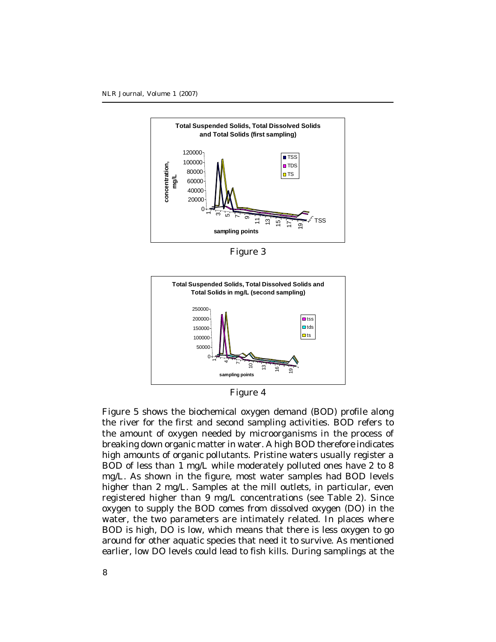

Figure 3



Figure 4

Figure 5 shows the biochemical oxygen demand (BOD) profile along the river for the first and second sampling activities. BOD refers to the amount of oxygen needed by microorganisms in the process of breaking down organic matter in water. A high BOD therefore indicates high amounts of organic pollutants. Pristine waters usually register a BOD of less than 1 mg/L while moderately polluted ones have 2 to 8 mg/L. As shown in the figure, most water samples had BOD levels higher than 2 mg/L. Samples at the mill outlets, in particular, even registered higher than 9 mg/L concentrations (see Table 2). Since oxygen to supply the BOD comes from dissolved oxygen (DO) in the water, the two parameters are intimately related. In places where BOD is high, DO is low, which means that there is less oxygen to go around for other aquatic species that need it to survive. As mentioned earlier, low DO levels could lead to fish kills. During samplings at the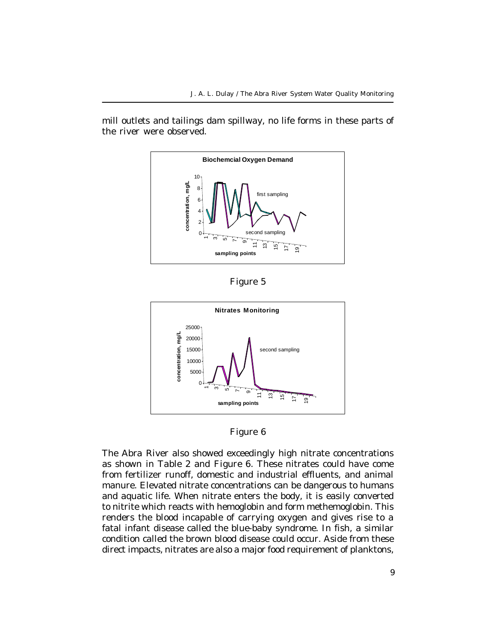mill outlets and tailings dam spillway, no life forms in these parts of the river were observed.



Figure 5



Figure 6

The Abra River also showed exceedingly high nitrate concentrations as shown in Table 2 and Figure 6. These nitrates could have come from fertilizer runoff, domestic and industrial effluents, and animal manure. Elevated nitrate concentrations can be dangerous to humans and aquatic life. When nitrate enters the body, it is easily converted to nitrite which reacts with hemoglobin and form methemoglobin. This renders the blood incapable of carrying oxygen and gives rise to a fatal infant disease called the blue-baby syndrome. In fish, a similar condition called the brown blood disease could occur. Aside from these direct impacts, nitrates are also a major food requirement of planktons,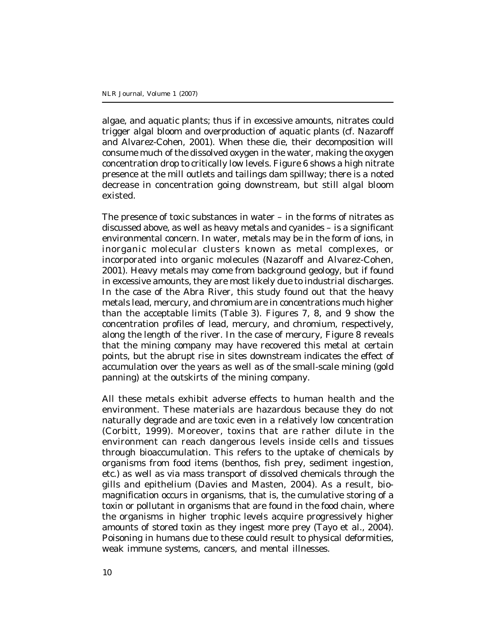algae, and aquatic plants; thus if in excessive amounts, nitrates could trigger algal bloom and overproduction of aquatic plants (cf. Nazaroff and Alvarez-Cohen, 2001). When these die, their decomposition will consume much of the dissolved oxygen in the water, making the oxygen concentration drop to critically low levels. Figure 6 shows a high nitrate presence at the mill outlets and tailings dam spillway; there is a noted decrease in concentration going downstream, but still algal bloom existed.

The presence of toxic substances in water – in the forms of nitrates as discussed above, as well as heavy metals and cyanides – is a significant environmental concern. In water, metals may be in the form of ions, in inorganic molecular clusters known as metal complexes, or incorporated into organic molecules (Nazaroff and Alvarez-Cohen, 2001). Heavy metals may come from background geology, but if found in excessive amounts, they are most likely due to industrial discharges. In the case of the Abra River, this study found out that the heavy metals lead, mercury, and chromium are in concentrations much higher than the acceptable limits (Table 3). Figures 7, 8, and 9 show the concentration profiles of lead, mercury, and chromium, respectively, along the length of the river. In the case of mercury, Figure 8 reveals that the mining company may have recovered this metal at certain points, but the abrupt rise in sites downstream indicates the effect of accumulation over the years as well as of the small-scale mining (gold panning) at the outskirts of the mining company.

All these metals exhibit adverse effects to human health and the environment. These materials are hazardous because they do not naturally degrade and are toxic even in a relatively low concentration (Corbitt, 1999). Moreover, toxins that are rather dilute in the environment can reach dangerous levels inside cells and tissues through bioaccumulation. This refers to the uptake of chemicals by organisms from food items (benthos, fish prey, sediment ingestion, etc.) as well as via mass transport of dissolved chemicals through the gills and epithelium (Davies and Masten, 2004). As a result, biomagnification occurs in organisms, that is, the cumulative storing of a toxin or pollutant in organisms that are found in the food chain, where the organisms in higher trophic levels acquire progressively higher amounts of stored toxin as they ingest more prey (Tayo et al., 2004). Poisoning in humans due to these could result to physical deformities, weak immune systems, cancers, and mental illnesses.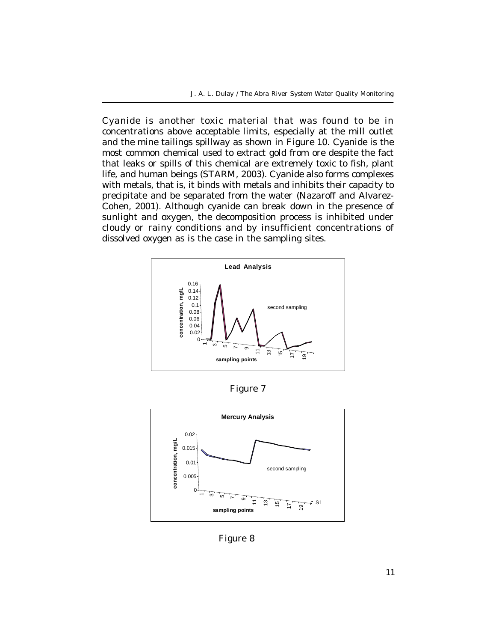Cyanide is another toxic material that was found to be in concentrations above acceptable limits, especially at the mill outlet and the mine tailings spillway as shown in Figure 10. Cyanide is the most common chemical used to extract gold from ore despite the fact that leaks or spills of this chemical are extremely toxic to fish, plant life, and human beings (STARM, 2003). Cyanide also forms complexes with metals, that is, it binds with metals and inhibits their capacity to precipitate and be separated from the water (Nazaroff and Alvarez-Cohen, 2001). Although cyanide can break down in the presence of sunlight and oxygen, the decomposition process is inhibited under cloudy or rainy conditions and by insufficient concentrations of dissolved oxygen as is the case in the sampling sites.



Figure 7



Figure 8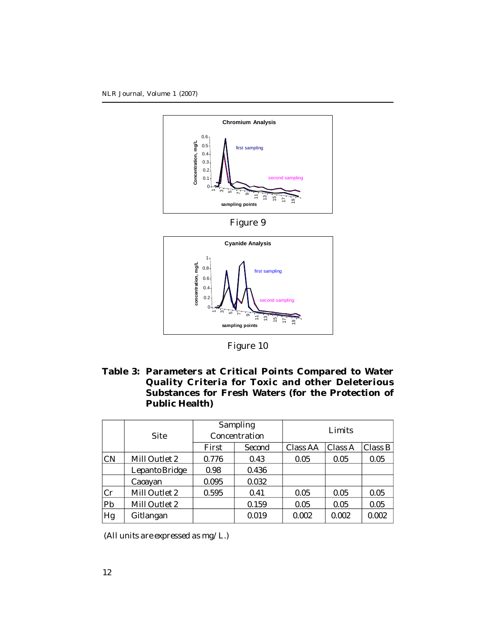



Figure 10

**Table 3: Parameters at Critical Points Compared to Water Quality Criteria for Toxic and other Deleterious Substances for Fresh Waters (for the Protection of Public Health)**

|           |                | Sampling<br>Concentration |        | Limits   |         |         |
|-----------|----------------|---------------------------|--------|----------|---------|---------|
|           | Site           |                           |        |          |         |         |
|           |                | First                     | Second | Class AA | Class A | Class B |
| <b>CN</b> | Mill Outlet 2  | 0.776                     | 0.43   | 0.05     | 0.05    | 0.05    |
|           | Lepanto Bridge | 0.98                      | 0.436  |          |         |         |
|           | Caoayan        | 0.095                     | 0.032  |          |         |         |
| Cr        | Mill Outlet 2  | 0.595                     | 0.41   | 0.05     | 0.05    | 0.05    |
| Pb        | Mill Outlet 2  |                           | 0.159  | 0.05     | 0.05    | 0.05    |
| Hg        | Gitlangan      |                           | 0.019  | 0.002    | 0.002   | 0.002   |

*(All units are expressed as mg/L.)*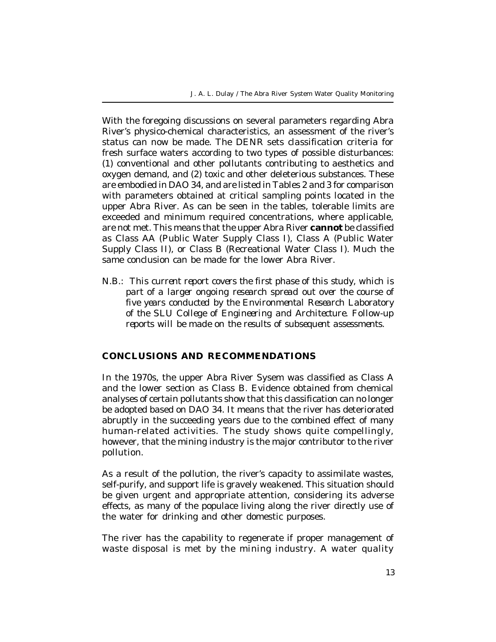J. A. L. Dulay / The Abra River System Water Quality Monitoring

With the foregoing discussions on several parameters regarding Abra River's physico-chemical characteristics, an assessment of the river's status can now be made. The DENR sets classification criteria for fresh surface waters according to two types of possible disturbances: (1) conventional and other pollutants contributing to aesthetics and oxygen demand, and (2) toxic and other deleterious substances. These are embodied in DAO 34, and are listed in Tables 2 and 3 for comparison with parameters obtained at critical sampling points located in the upper Abra River. As can be seen in the tables, tolerable limits are exceeded and minimum required concentrations, where applicable, are not met. This means that the upper Abra River **cannot** be classified as Class AA (Public Water Supply Class I), Class A (Public Water Supply Class II), or Class B (Recreational Water Class I). Much the same conclusion can be made for the lower Abra River.

N.B.: *This current report covers the first phase of this study, which is part of a larger ongoing research spread out over the course of five years conducted by the Environmental Research Laboratory of the SLU College of Engineering and Architecture. Follow-up reports will be made on the results of subsequent assessments.*

# **CONCLUSIONS AND RECOMMENDATIONS**

In the 1970s, the upper Abra River Sysem was classified as Class A and the lower section as Class B. Evidence obtained from chemical analyses of certain pollutants show that this classification can no longer be adopted based on DAO 34. It means that the river has deteriorated abruptly in the succeeding years due to the combined effect of many human-related activities. The study shows quite compellingly, however, that the mining industry is the major contributor to the river pollution.

As a result of the pollution, the river's capacity to assimilate wastes, self-purify, and support life is gravely weakened. This situation should be given urgent and appropriate attention, considering its adverse effects, as many of the populace living along the river directly use of the water for drinking and other domestic purposes.

The river has the capability to regenerate if proper management of waste disposal is met by the mining industry. A water quality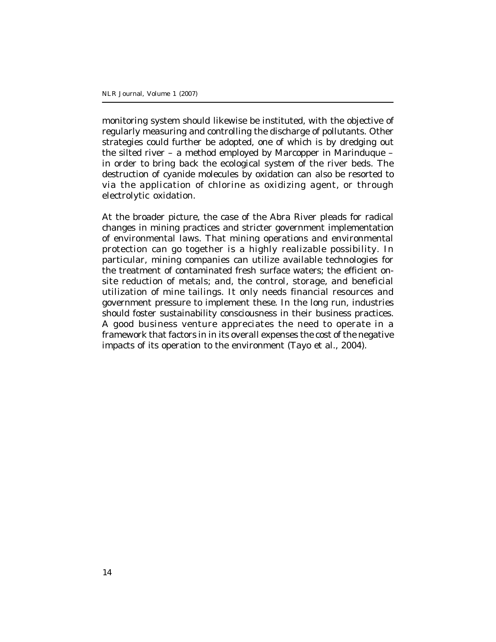monitoring system should likewise be instituted, with the objective of regularly measuring and controlling the discharge of pollutants. Other strategies could further be adopted, one of which is by dredging out the silted river – a method employed by Marcopper in Marinduque – in order to bring back the ecological system of the river beds. The destruction of cyanide molecules by oxidation can also be resorted to via the application of chlorine as oxidizing agent, or through electrolytic oxidation.

At the broader picture, the case of the Abra River pleads for radical changes in mining practices and stricter government implementation of environmental laws. That mining operations and environmental protection can go together is a highly realizable possibility. In particular, mining companies can utilize available technologies for the treatment of contaminated fresh surface waters; the efficient onsite reduction of metals; and, the control, storage, and beneficial utilization of mine tailings. It only needs financial resources and government pressure to implement these. In the long run, industries should foster sustainability consciousness in their business practices. A good business venture appreciates the need to operate in a framework that factors in in its overall expenses the cost of the negative impacts of its operation to the environment (Tayo et al., 2004).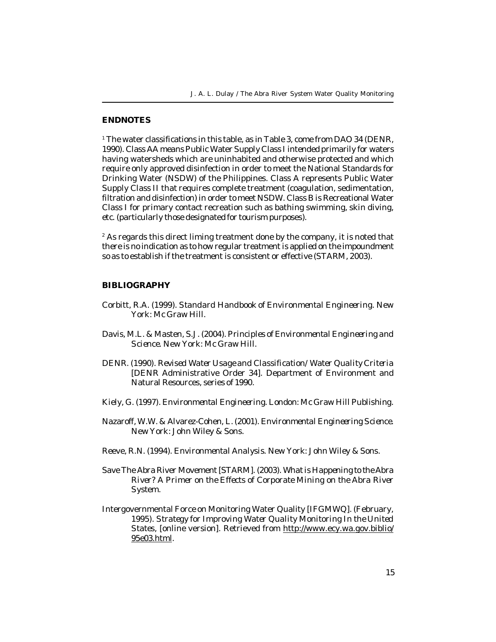#### **ENDNOTES**

1 The water classifications in this table, as in Table 3, come from DAO 34 (DENR, 1990). Class AA means Public Water Supply Class I intended primarily for waters having watersheds which are uninhabited and otherwise protected and which require only approved disinfection in order to meet the National Standards for Drinking Water (NSDW) of the Philippines. Class A represents Public Water Supply Class II that requires complete treatment (coagulation, sedimentation, filtration and disinfection) in order to meet NSDW. Class B is Recreational Water Class I for primary contact recreation such as bathing swimming, skin diving, etc. (particularly those designated for tourism purposes).

2 As regards this direct liming treatment done by the company, it is noted that there is no indication as to how regular treatment is applied on the impoundment so as to establish if the treatment is consistent or effective (STARM, 2003).

#### **BIBLIOGRAPHY**

- Corbitt, R.A. (1999). *Standard Handbook of Environmental Engineering.* New York: Mc Graw Hill.
- Davis, M.L. & Masten, S.J. (2004). *Principles of Environmental Engineering and Science.* New York: Mc Graw Hill.
- DENR. (1990). *Revised Water Usage and Classification/Water Quality Criteria* [DENR Administrative Order 34]. Department of Environment and Natural Resources, series of 1990.
- Kiely, G. (1997). *Environmental Engineering.* London: Mc Graw Hill Publishing.
- Nazaroff, W.W. & Alvarez-Cohen, L. (2001). *Environmental Engineering Science*. New York: John Wiley & Sons.
- Reeve, R.N. (1994). *Environmental Analysis.* New York: John Wiley & Sons.
- Save The Abra River Movement [STARM]. (2003). *What is Happening to the Abra River? A Primer on the Effects of Corporate Mining on the Abra River System.*
- Intergovernmental Force on Monitoring Water Quality [IFGMWQ]. (February, 1995). *Strategy for Improving Water Quality Monitoring In the United States,* [online version]. Retrieved from http://www.ecy.wa.gov.biblio/ 95e03.html.